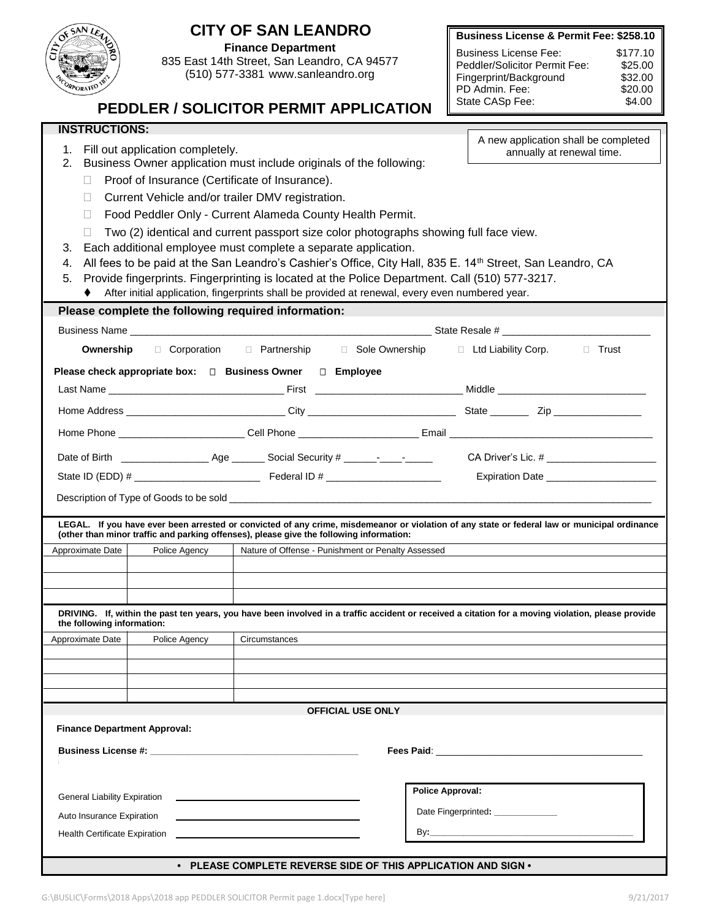| <b>Business License &amp; Permit Fee: \$258.10</b><br>$\overrightarrow{CD}$<br><b>Finance Department</b><br><b>Business License Fee:</b><br>\$177.10<br>835 East 14th Street, San Leandro, CA 94577<br>Peddler/Solicitor Permit Fee:<br>\$25.00<br>(510) 577-3381 www.sanleandro.org<br>Fingerprint/Background<br>\$32.00<br>ORPORATED<br>PD Admin, Fee:<br>\$20.00<br>State CASp Fee:<br>\$4.00<br><b>PEDDLER / SOLICITOR PERMIT APPLICATION</b><br><b>INSTRUCTIONS:</b><br>A new application shall be completed<br>Fill out application completely.<br>1.<br>annually at renewal time.<br>Business Owner application must include originals of the following:<br>2.<br>Proof of Insurance (Certificate of Insurance).<br>П<br>Current Vehicle and/or trailer DMV registration.<br>$\Box$<br>Food Peddler Only - Current Alameda County Health Permit.<br>П<br>Two (2) identical and current passport size color photographs showing full face view.<br>Each additional employee must complete a separate application.<br>3.<br>All fees to be paid at the San Leandro's Cashier's Office, City Hall, 835 E. 14 <sup>th</sup> Street, San Leandro, CA<br>4.<br>Provide fingerprints. Fingerprinting is located at the Police Department. Call (510) 577-3217.<br>5.<br>After initial application, fingerprints shall be provided at renewal, every even numbered year.<br>Please complete the following required information:<br>□ Corporation □ Partnership □ Sole Ownership<br>□ Ltd Liability Corp.<br>Ownership<br>□ Trust<br>Please check appropriate box: □ Business Owner □ Employee<br>CA Driver's Lic. # _________________________<br>Expiration Date _____________________<br>LEGAL. If you have ever been arrested or convicted of any crime, misdemeanor or violation of any state or federal law or municipal ordinance<br>(other than minor traffic and parking offenses), please give the following information:<br>Police Agency<br>Nature of Offense - Punishment or Penalty Assessed<br>Approximate Date<br>DRIVING. If, within the past ten years, you have been involved in a traffic accident or received a citation for a moving violation, please provide<br>the following information:<br>Approximate Date<br>Police Agency<br>Circumstances<br><b>OFFICIAL USE ONLY</b><br><b>Finance Department Approval:</b><br>Fees Paid: The Contract of the Contract of the Contract of the Contract of the Contract of the Contract of the<br><b>Police Approval:</b><br><b>General Liability Expiration</b><br>Date Fingerprinted: ______________<br>Auto Insurance Expiration<br>By:_<br><b>Health Certificate Expiration</b><br>• PLEASE COMPLETE REVERSE SIDE OF THIS APPLICATION AND SIGN • | OF SAN LE |  | <b>CITY OF SAN LEANDRO</b> |  |  |  |  |  |
|------------------------------------------------------------------------------------------------------------------------------------------------------------------------------------------------------------------------------------------------------------------------------------------------------------------------------------------------------------------------------------------------------------------------------------------------------------------------------------------------------------------------------------------------------------------------------------------------------------------------------------------------------------------------------------------------------------------------------------------------------------------------------------------------------------------------------------------------------------------------------------------------------------------------------------------------------------------------------------------------------------------------------------------------------------------------------------------------------------------------------------------------------------------------------------------------------------------------------------------------------------------------------------------------------------------------------------------------------------------------------------------------------------------------------------------------------------------------------------------------------------------------------------------------------------------------------------------------------------------------------------------------------------------------------------------------------------------------------------------------------------------------------------------------------------------------------------------------------------------------------------------------------------------------------------------------------------------------------------------------------------------------------------------------------------------------------------------------------------------------------------------------------------------------------------------------------------------------------------------------------------------------------------------------------------------------------------------------------------------------------------------------------------------------------------------------------------------------------------------------------------------------------------------------------------------------------------------------------------------------------------------------------------------------------------------------------------------|-----------|--|----------------------------|--|--|--|--|--|
|                                                                                                                                                                                                                                                                                                                                                                                                                                                                                                                                                                                                                                                                                                                                                                                                                                                                                                                                                                                                                                                                                                                                                                                                                                                                                                                                                                                                                                                                                                                                                                                                                                                                                                                                                                                                                                                                                                                                                                                                                                                                                                                                                                                                                                                                                                                                                                                                                                                                                                                                                                                                                                                                                                                  |           |  |                            |  |  |  |  |  |
|                                                                                                                                                                                                                                                                                                                                                                                                                                                                                                                                                                                                                                                                                                                                                                                                                                                                                                                                                                                                                                                                                                                                                                                                                                                                                                                                                                                                                                                                                                                                                                                                                                                                                                                                                                                                                                                                                                                                                                                                                                                                                                                                                                                                                                                                                                                                                                                                                                                                                                                                                                                                                                                                                                                  |           |  |                            |  |  |  |  |  |
|                                                                                                                                                                                                                                                                                                                                                                                                                                                                                                                                                                                                                                                                                                                                                                                                                                                                                                                                                                                                                                                                                                                                                                                                                                                                                                                                                                                                                                                                                                                                                                                                                                                                                                                                                                                                                                                                                                                                                                                                                                                                                                                                                                                                                                                                                                                                                                                                                                                                                                                                                                                                                                                                                                                  |           |  |                            |  |  |  |  |  |
|                                                                                                                                                                                                                                                                                                                                                                                                                                                                                                                                                                                                                                                                                                                                                                                                                                                                                                                                                                                                                                                                                                                                                                                                                                                                                                                                                                                                                                                                                                                                                                                                                                                                                                                                                                                                                                                                                                                                                                                                                                                                                                                                                                                                                                                                                                                                                                                                                                                                                                                                                                                                                                                                                                                  |           |  |                            |  |  |  |  |  |
|                                                                                                                                                                                                                                                                                                                                                                                                                                                                                                                                                                                                                                                                                                                                                                                                                                                                                                                                                                                                                                                                                                                                                                                                                                                                                                                                                                                                                                                                                                                                                                                                                                                                                                                                                                                                                                                                                                                                                                                                                                                                                                                                                                                                                                                                                                                                                                                                                                                                                                                                                                                                                                                                                                                  |           |  |                            |  |  |  |  |  |
|                                                                                                                                                                                                                                                                                                                                                                                                                                                                                                                                                                                                                                                                                                                                                                                                                                                                                                                                                                                                                                                                                                                                                                                                                                                                                                                                                                                                                                                                                                                                                                                                                                                                                                                                                                                                                                                                                                                                                                                                                                                                                                                                                                                                                                                                                                                                                                                                                                                                                                                                                                                                                                                                                                                  |           |  |                            |  |  |  |  |  |
|                                                                                                                                                                                                                                                                                                                                                                                                                                                                                                                                                                                                                                                                                                                                                                                                                                                                                                                                                                                                                                                                                                                                                                                                                                                                                                                                                                                                                                                                                                                                                                                                                                                                                                                                                                                                                                                                                                                                                                                                                                                                                                                                                                                                                                                                                                                                                                                                                                                                                                                                                                                                                                                                                                                  |           |  |                            |  |  |  |  |  |
|                                                                                                                                                                                                                                                                                                                                                                                                                                                                                                                                                                                                                                                                                                                                                                                                                                                                                                                                                                                                                                                                                                                                                                                                                                                                                                                                                                                                                                                                                                                                                                                                                                                                                                                                                                                                                                                                                                                                                                                                                                                                                                                                                                                                                                                                                                                                                                                                                                                                                                                                                                                                                                                                                                                  |           |  |                            |  |  |  |  |  |
|                                                                                                                                                                                                                                                                                                                                                                                                                                                                                                                                                                                                                                                                                                                                                                                                                                                                                                                                                                                                                                                                                                                                                                                                                                                                                                                                                                                                                                                                                                                                                                                                                                                                                                                                                                                                                                                                                                                                                                                                                                                                                                                                                                                                                                                                                                                                                                                                                                                                                                                                                                                                                                                                                                                  |           |  |                            |  |  |  |  |  |
|                                                                                                                                                                                                                                                                                                                                                                                                                                                                                                                                                                                                                                                                                                                                                                                                                                                                                                                                                                                                                                                                                                                                                                                                                                                                                                                                                                                                                                                                                                                                                                                                                                                                                                                                                                                                                                                                                                                                                                                                                                                                                                                                                                                                                                                                                                                                                                                                                                                                                                                                                                                                                                                                                                                  |           |  |                            |  |  |  |  |  |
|                                                                                                                                                                                                                                                                                                                                                                                                                                                                                                                                                                                                                                                                                                                                                                                                                                                                                                                                                                                                                                                                                                                                                                                                                                                                                                                                                                                                                                                                                                                                                                                                                                                                                                                                                                                                                                                                                                                                                                                                                                                                                                                                                                                                                                                                                                                                                                                                                                                                                                                                                                                                                                                                                                                  |           |  |                            |  |  |  |  |  |
|                                                                                                                                                                                                                                                                                                                                                                                                                                                                                                                                                                                                                                                                                                                                                                                                                                                                                                                                                                                                                                                                                                                                                                                                                                                                                                                                                                                                                                                                                                                                                                                                                                                                                                                                                                                                                                                                                                                                                                                                                                                                                                                                                                                                                                                                                                                                                                                                                                                                                                                                                                                                                                                                                                                  |           |  |                            |  |  |  |  |  |
|                                                                                                                                                                                                                                                                                                                                                                                                                                                                                                                                                                                                                                                                                                                                                                                                                                                                                                                                                                                                                                                                                                                                                                                                                                                                                                                                                                                                                                                                                                                                                                                                                                                                                                                                                                                                                                                                                                                                                                                                                                                                                                                                                                                                                                                                                                                                                                                                                                                                                                                                                                                                                                                                                                                  |           |  |                            |  |  |  |  |  |
|                                                                                                                                                                                                                                                                                                                                                                                                                                                                                                                                                                                                                                                                                                                                                                                                                                                                                                                                                                                                                                                                                                                                                                                                                                                                                                                                                                                                                                                                                                                                                                                                                                                                                                                                                                                                                                                                                                                                                                                                                                                                                                                                                                                                                                                                                                                                                                                                                                                                                                                                                                                                                                                                                                                  |           |  |                            |  |  |  |  |  |
|                                                                                                                                                                                                                                                                                                                                                                                                                                                                                                                                                                                                                                                                                                                                                                                                                                                                                                                                                                                                                                                                                                                                                                                                                                                                                                                                                                                                                                                                                                                                                                                                                                                                                                                                                                                                                                                                                                                                                                                                                                                                                                                                                                                                                                                                                                                                                                                                                                                                                                                                                                                                                                                                                                                  |           |  |                            |  |  |  |  |  |
|                                                                                                                                                                                                                                                                                                                                                                                                                                                                                                                                                                                                                                                                                                                                                                                                                                                                                                                                                                                                                                                                                                                                                                                                                                                                                                                                                                                                                                                                                                                                                                                                                                                                                                                                                                                                                                                                                                                                                                                                                                                                                                                                                                                                                                                                                                                                                                                                                                                                                                                                                                                                                                                                                                                  |           |  |                            |  |  |  |  |  |
|                                                                                                                                                                                                                                                                                                                                                                                                                                                                                                                                                                                                                                                                                                                                                                                                                                                                                                                                                                                                                                                                                                                                                                                                                                                                                                                                                                                                                                                                                                                                                                                                                                                                                                                                                                                                                                                                                                                                                                                                                                                                                                                                                                                                                                                                                                                                                                                                                                                                                                                                                                                                                                                                                                                  |           |  |                            |  |  |  |  |  |
|                                                                                                                                                                                                                                                                                                                                                                                                                                                                                                                                                                                                                                                                                                                                                                                                                                                                                                                                                                                                                                                                                                                                                                                                                                                                                                                                                                                                                                                                                                                                                                                                                                                                                                                                                                                                                                                                                                                                                                                                                                                                                                                                                                                                                                                                                                                                                                                                                                                                                                                                                                                                                                                                                                                  |           |  |                            |  |  |  |  |  |
|                                                                                                                                                                                                                                                                                                                                                                                                                                                                                                                                                                                                                                                                                                                                                                                                                                                                                                                                                                                                                                                                                                                                                                                                                                                                                                                                                                                                                                                                                                                                                                                                                                                                                                                                                                                                                                                                                                                                                                                                                                                                                                                                                                                                                                                                                                                                                                                                                                                                                                                                                                                                                                                                                                                  |           |  |                            |  |  |  |  |  |
|                                                                                                                                                                                                                                                                                                                                                                                                                                                                                                                                                                                                                                                                                                                                                                                                                                                                                                                                                                                                                                                                                                                                                                                                                                                                                                                                                                                                                                                                                                                                                                                                                                                                                                                                                                                                                                                                                                                                                                                                                                                                                                                                                                                                                                                                                                                                                                                                                                                                                                                                                                                                                                                                                                                  |           |  |                            |  |  |  |  |  |
|                                                                                                                                                                                                                                                                                                                                                                                                                                                                                                                                                                                                                                                                                                                                                                                                                                                                                                                                                                                                                                                                                                                                                                                                                                                                                                                                                                                                                                                                                                                                                                                                                                                                                                                                                                                                                                                                                                                                                                                                                                                                                                                                                                                                                                                                                                                                                                                                                                                                                                                                                                                                                                                                                                                  |           |  |                            |  |  |  |  |  |
|                                                                                                                                                                                                                                                                                                                                                                                                                                                                                                                                                                                                                                                                                                                                                                                                                                                                                                                                                                                                                                                                                                                                                                                                                                                                                                                                                                                                                                                                                                                                                                                                                                                                                                                                                                                                                                                                                                                                                                                                                                                                                                                                                                                                                                                                                                                                                                                                                                                                                                                                                                                                                                                                                                                  |           |  |                            |  |  |  |  |  |
|                                                                                                                                                                                                                                                                                                                                                                                                                                                                                                                                                                                                                                                                                                                                                                                                                                                                                                                                                                                                                                                                                                                                                                                                                                                                                                                                                                                                                                                                                                                                                                                                                                                                                                                                                                                                                                                                                                                                                                                                                                                                                                                                                                                                                                                                                                                                                                                                                                                                                                                                                                                                                                                                                                                  |           |  |                            |  |  |  |  |  |
|                                                                                                                                                                                                                                                                                                                                                                                                                                                                                                                                                                                                                                                                                                                                                                                                                                                                                                                                                                                                                                                                                                                                                                                                                                                                                                                                                                                                                                                                                                                                                                                                                                                                                                                                                                                                                                                                                                                                                                                                                                                                                                                                                                                                                                                                                                                                                                                                                                                                                                                                                                                                                                                                                                                  |           |  |                            |  |  |  |  |  |
|                                                                                                                                                                                                                                                                                                                                                                                                                                                                                                                                                                                                                                                                                                                                                                                                                                                                                                                                                                                                                                                                                                                                                                                                                                                                                                                                                                                                                                                                                                                                                                                                                                                                                                                                                                                                                                                                                                                                                                                                                                                                                                                                                                                                                                                                                                                                                                                                                                                                                                                                                                                                                                                                                                                  |           |  |                            |  |  |  |  |  |
|                                                                                                                                                                                                                                                                                                                                                                                                                                                                                                                                                                                                                                                                                                                                                                                                                                                                                                                                                                                                                                                                                                                                                                                                                                                                                                                                                                                                                                                                                                                                                                                                                                                                                                                                                                                                                                                                                                                                                                                                                                                                                                                                                                                                                                                                                                                                                                                                                                                                                                                                                                                                                                                                                                                  |           |  |                            |  |  |  |  |  |
|                                                                                                                                                                                                                                                                                                                                                                                                                                                                                                                                                                                                                                                                                                                                                                                                                                                                                                                                                                                                                                                                                                                                                                                                                                                                                                                                                                                                                                                                                                                                                                                                                                                                                                                                                                                                                                                                                                                                                                                                                                                                                                                                                                                                                                                                                                                                                                                                                                                                                                                                                                                                                                                                                                                  |           |  |                            |  |  |  |  |  |
|                                                                                                                                                                                                                                                                                                                                                                                                                                                                                                                                                                                                                                                                                                                                                                                                                                                                                                                                                                                                                                                                                                                                                                                                                                                                                                                                                                                                                                                                                                                                                                                                                                                                                                                                                                                                                                                                                                                                                                                                                                                                                                                                                                                                                                                                                                                                                                                                                                                                                                                                                                                                                                                                                                                  |           |  |                            |  |  |  |  |  |
|                                                                                                                                                                                                                                                                                                                                                                                                                                                                                                                                                                                                                                                                                                                                                                                                                                                                                                                                                                                                                                                                                                                                                                                                                                                                                                                                                                                                                                                                                                                                                                                                                                                                                                                                                                                                                                                                                                                                                                                                                                                                                                                                                                                                                                                                                                                                                                                                                                                                                                                                                                                                                                                                                                                  |           |  |                            |  |  |  |  |  |
|                                                                                                                                                                                                                                                                                                                                                                                                                                                                                                                                                                                                                                                                                                                                                                                                                                                                                                                                                                                                                                                                                                                                                                                                                                                                                                                                                                                                                                                                                                                                                                                                                                                                                                                                                                                                                                                                                                                                                                                                                                                                                                                                                                                                                                                                                                                                                                                                                                                                                                                                                                                                                                                                                                                  |           |  |                            |  |  |  |  |  |
|                                                                                                                                                                                                                                                                                                                                                                                                                                                                                                                                                                                                                                                                                                                                                                                                                                                                                                                                                                                                                                                                                                                                                                                                                                                                                                                                                                                                                                                                                                                                                                                                                                                                                                                                                                                                                                                                                                                                                                                                                                                                                                                                                                                                                                                                                                                                                                                                                                                                                                                                                                                                                                                                                                                  |           |  |                            |  |  |  |  |  |
|                                                                                                                                                                                                                                                                                                                                                                                                                                                                                                                                                                                                                                                                                                                                                                                                                                                                                                                                                                                                                                                                                                                                                                                                                                                                                                                                                                                                                                                                                                                                                                                                                                                                                                                                                                                                                                                                                                                                                                                                                                                                                                                                                                                                                                                                                                                                                                                                                                                                                                                                                                                                                                                                                                                  |           |  |                            |  |  |  |  |  |
|                                                                                                                                                                                                                                                                                                                                                                                                                                                                                                                                                                                                                                                                                                                                                                                                                                                                                                                                                                                                                                                                                                                                                                                                                                                                                                                                                                                                                                                                                                                                                                                                                                                                                                                                                                                                                                                                                                                                                                                                                                                                                                                                                                                                                                                                                                                                                                                                                                                                                                                                                                                                                                                                                                                  |           |  |                            |  |  |  |  |  |
|                                                                                                                                                                                                                                                                                                                                                                                                                                                                                                                                                                                                                                                                                                                                                                                                                                                                                                                                                                                                                                                                                                                                                                                                                                                                                                                                                                                                                                                                                                                                                                                                                                                                                                                                                                                                                                                                                                                                                                                                                                                                                                                                                                                                                                                                                                                                                                                                                                                                                                                                                                                                                                                                                                                  |           |  |                            |  |  |  |  |  |
|                                                                                                                                                                                                                                                                                                                                                                                                                                                                                                                                                                                                                                                                                                                                                                                                                                                                                                                                                                                                                                                                                                                                                                                                                                                                                                                                                                                                                                                                                                                                                                                                                                                                                                                                                                                                                                                                                                                                                                                                                                                                                                                                                                                                                                                                                                                                                                                                                                                                                                                                                                                                                                                                                                                  |           |  |                            |  |  |  |  |  |
|                                                                                                                                                                                                                                                                                                                                                                                                                                                                                                                                                                                                                                                                                                                                                                                                                                                                                                                                                                                                                                                                                                                                                                                                                                                                                                                                                                                                                                                                                                                                                                                                                                                                                                                                                                                                                                                                                                                                                                                                                                                                                                                                                                                                                                                                                                                                                                                                                                                                                                                                                                                                                                                                                                                  |           |  |                            |  |  |  |  |  |
|                                                                                                                                                                                                                                                                                                                                                                                                                                                                                                                                                                                                                                                                                                                                                                                                                                                                                                                                                                                                                                                                                                                                                                                                                                                                                                                                                                                                                                                                                                                                                                                                                                                                                                                                                                                                                                                                                                                                                                                                                                                                                                                                                                                                                                                                                                                                                                                                                                                                                                                                                                                                                                                                                                                  |           |  |                            |  |  |  |  |  |
|                                                                                                                                                                                                                                                                                                                                                                                                                                                                                                                                                                                                                                                                                                                                                                                                                                                                                                                                                                                                                                                                                                                                                                                                                                                                                                                                                                                                                                                                                                                                                                                                                                                                                                                                                                                                                                                                                                                                                                                                                                                                                                                                                                                                                                                                                                                                                                                                                                                                                                                                                                                                                                                                                                                  |           |  |                            |  |  |  |  |  |
|                                                                                                                                                                                                                                                                                                                                                                                                                                                                                                                                                                                                                                                                                                                                                                                                                                                                                                                                                                                                                                                                                                                                                                                                                                                                                                                                                                                                                                                                                                                                                                                                                                                                                                                                                                                                                                                                                                                                                                                                                                                                                                                                                                                                                                                                                                                                                                                                                                                                                                                                                                                                                                                                                                                  |           |  |                            |  |  |  |  |  |
|                                                                                                                                                                                                                                                                                                                                                                                                                                                                                                                                                                                                                                                                                                                                                                                                                                                                                                                                                                                                                                                                                                                                                                                                                                                                                                                                                                                                                                                                                                                                                                                                                                                                                                                                                                                                                                                                                                                                                                                                                                                                                                                                                                                                                                                                                                                                                                                                                                                                                                                                                                                                                                                                                                                  |           |  |                            |  |  |  |  |  |
|                                                                                                                                                                                                                                                                                                                                                                                                                                                                                                                                                                                                                                                                                                                                                                                                                                                                                                                                                                                                                                                                                                                                                                                                                                                                                                                                                                                                                                                                                                                                                                                                                                                                                                                                                                                                                                                                                                                                                                                                                                                                                                                                                                                                                                                                                                                                                                                                                                                                                                                                                                                                                                                                                                                  |           |  |                            |  |  |  |  |  |
|                                                                                                                                                                                                                                                                                                                                                                                                                                                                                                                                                                                                                                                                                                                                                                                                                                                                                                                                                                                                                                                                                                                                                                                                                                                                                                                                                                                                                                                                                                                                                                                                                                                                                                                                                                                                                                                                                                                                                                                                                                                                                                                                                                                                                                                                                                                                                                                                                                                                                                                                                                                                                                                                                                                  |           |  |                            |  |  |  |  |  |
|                                                                                                                                                                                                                                                                                                                                                                                                                                                                                                                                                                                                                                                                                                                                                                                                                                                                                                                                                                                                                                                                                                                                                                                                                                                                                                                                                                                                                                                                                                                                                                                                                                                                                                                                                                                                                                                                                                                                                                                                                                                                                                                                                                                                                                                                                                                                                                                                                                                                                                                                                                                                                                                                                                                  |           |  |                            |  |  |  |  |  |
|                                                                                                                                                                                                                                                                                                                                                                                                                                                                                                                                                                                                                                                                                                                                                                                                                                                                                                                                                                                                                                                                                                                                                                                                                                                                                                                                                                                                                                                                                                                                                                                                                                                                                                                                                                                                                                                                                                                                                                                                                                                                                                                                                                                                                                                                                                                                                                                                                                                                                                                                                                                                                                                                                                                  |           |  |                            |  |  |  |  |  |
|                                                                                                                                                                                                                                                                                                                                                                                                                                                                                                                                                                                                                                                                                                                                                                                                                                                                                                                                                                                                                                                                                                                                                                                                                                                                                                                                                                                                                                                                                                                                                                                                                                                                                                                                                                                                                                                                                                                                                                                                                                                                                                                                                                                                                                                                                                                                                                                                                                                                                                                                                                                                                                                                                                                  |           |  |                            |  |  |  |  |  |
|                                                                                                                                                                                                                                                                                                                                                                                                                                                                                                                                                                                                                                                                                                                                                                                                                                                                                                                                                                                                                                                                                                                                                                                                                                                                                                                                                                                                                                                                                                                                                                                                                                                                                                                                                                                                                                                                                                                                                                                                                                                                                                                                                                                                                                                                                                                                                                                                                                                                                                                                                                                                                                                                                                                  |           |  |                            |  |  |  |  |  |